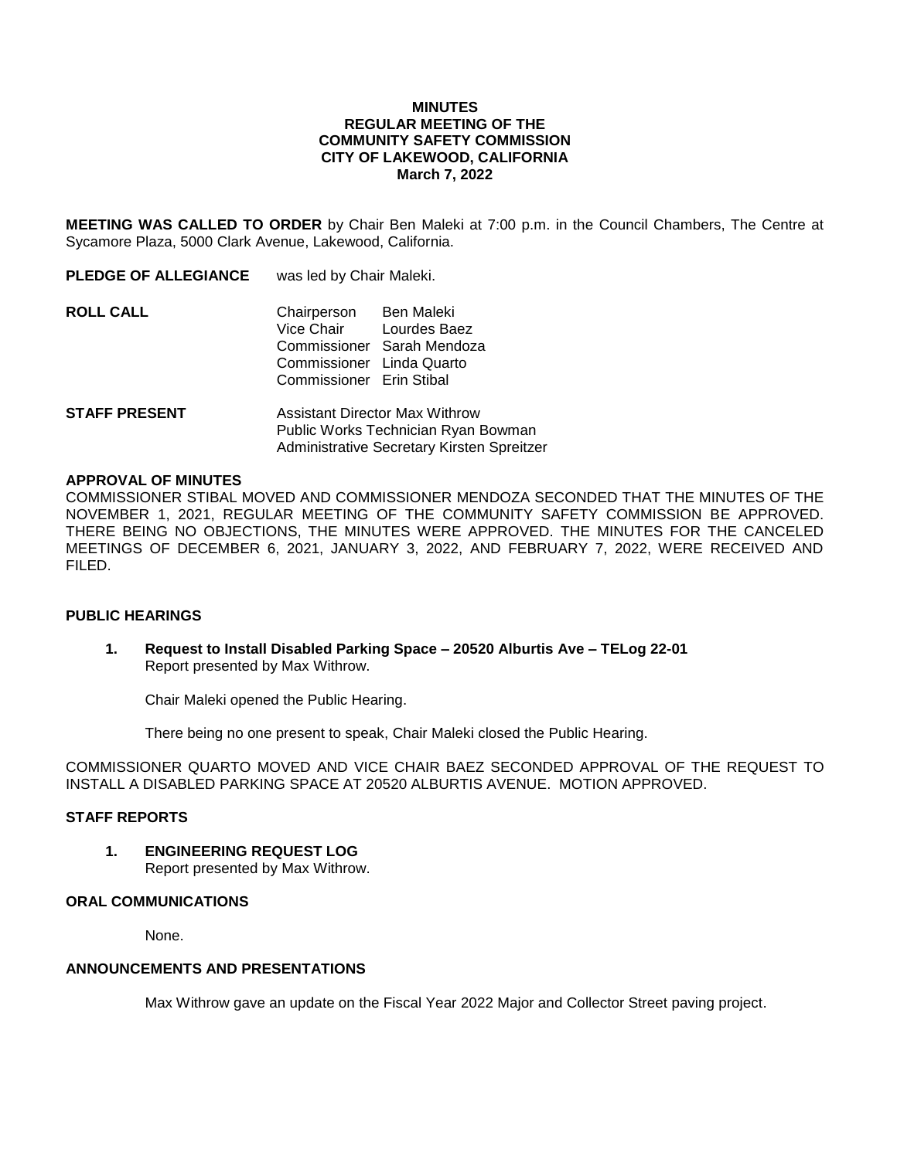### **MINUTES REGULAR MEETING OF THE COMMUNITY SAFETY COMMISSION CITY OF LAKEWOOD, CALIFORNIA March 7, 2022**

**MEETING WAS CALLED TO ORDER** by Chair Ben Maleki at 7:00 p.m. in the Council Chambers, The Centre at Sycamore Plaza, 5000 Clark Avenue, Lakewood, California.

**PLEDGE OF ALLEGIANCE** was led by Chair Maleki.

| <b>ROLL CALL</b> | Chairperson               | Ben Maleki                 |
|------------------|---------------------------|----------------------------|
|                  | Vice Chair                | Lourdes Baez               |
|                  |                           | Commissioner Sarah Mendoza |
|                  | Commissioner Linda Quarto |                            |
|                  | Commissioner Erin Stibal  |                            |

**STAFF PRESENT** Assistant Director Max Withrow Public Works Technician Ryan Bowman Administrative Secretary Kirsten Spreitzer

#### **APPROVAL OF MINUTES**

COMMISSIONER STIBAL MOVED AND COMMISSIONER MENDOZA SECONDED THAT THE MINUTES OF THE NOVEMBER 1, 2021, REGULAR MEETING OF THE COMMUNITY SAFETY COMMISSION BE APPROVED. THERE BEING NO OBJECTIONS, THE MINUTES WERE APPROVED. THE MINUTES FOR THE CANCELED MEETINGS OF DECEMBER 6, 2021, JANUARY 3, 2022, AND FEBRUARY 7, 2022, WERE RECEIVED AND FILED.

#### **PUBLIC HEARINGS**

**1. Request to Install Disabled Parking Space – 20520 Alburtis Ave – TELog 22-01** Report presented by Max Withrow.

Chair Maleki opened the Public Hearing.

There being no one present to speak, Chair Maleki closed the Public Hearing.

COMMISSIONER QUARTO MOVED AND VICE CHAIR BAEZ SECONDED APPROVAL OF THE REQUEST TO INSTALL A DISABLED PARKING SPACE AT 20520 ALBURTIS AVENUE. MOTION APPROVED.

### **STAFF REPORTS**

**1. ENGINEERING REQUEST LOG**

Report presented by Max Withrow.

# **ORAL COMMUNICATIONS**

None.

# **ANNOUNCEMENTS AND PRESENTATIONS**

Max Withrow gave an update on the Fiscal Year 2022 Major and Collector Street paving project.